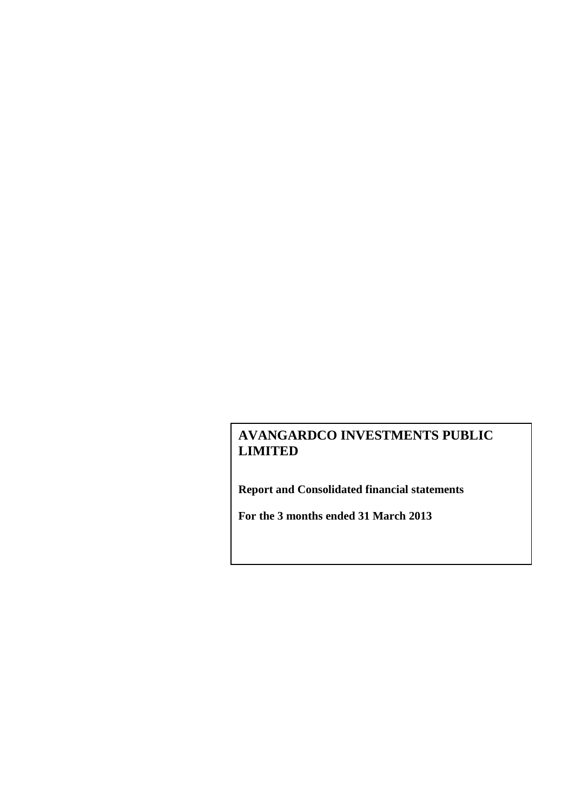**Report and Consolidated financial statements**

**For the 3 months ended 31 March 2013**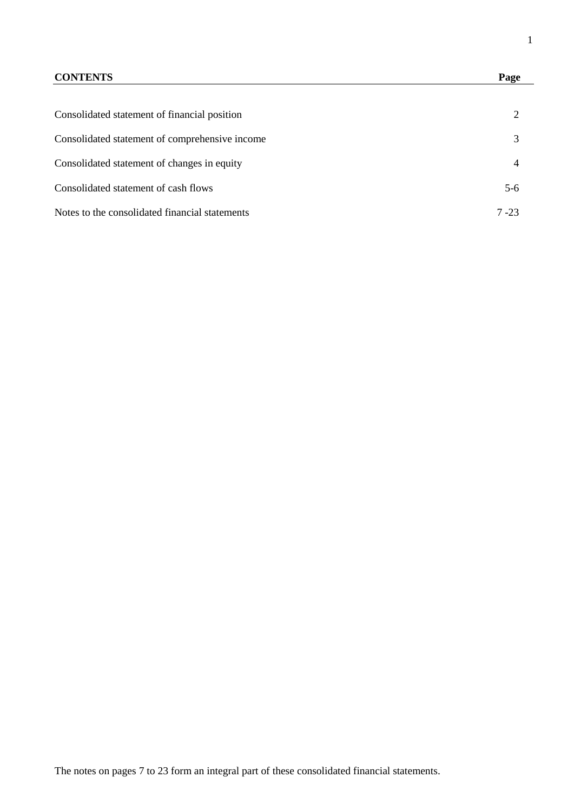# **CONTENTS Page**

| Consolidated statement of financial position   |        |
|------------------------------------------------|--------|
| Consolidated statement of comprehensive income |        |
| Consolidated statement of changes in equity    |        |
| Consolidated statement of cash flows           | $5-6$  |
| Notes to the consolidated financial statements | 7 - 23 |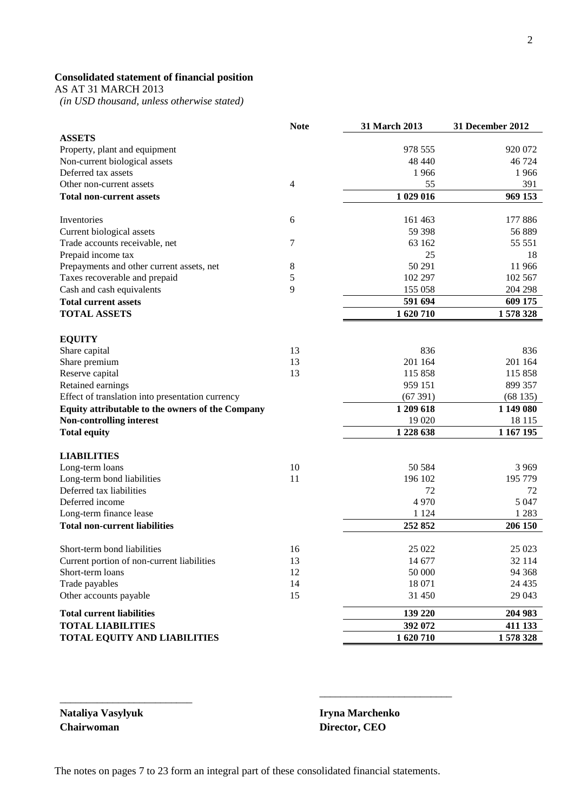# **Consolidated statement of financial position**

AS AT 31 MARCH 2013

 *(in USD thousand, unless otherwise stated)*

|                                                  | <b>Note</b>              | 31 March 2013 | 31 December 2012 |
|--------------------------------------------------|--------------------------|---------------|------------------|
| <b>ASSETS</b>                                    |                          |               |                  |
| Property, plant and equipment                    |                          | 978 555       | 920 072          |
| Non-current biological assets                    |                          | 48 440        | 46 724           |
| Deferred tax assets                              |                          | 1966          | 1966             |
| Other non-current assets                         | $\overline{\mathcal{L}}$ | 55            | 391              |
| <b>Total non-current assets</b>                  |                          | 1 029 016     | 969 153          |
| Inventories                                      | 6                        | 161 463       | 177 886          |
| Current biological assets                        |                          | 59 398        | 56 889           |
| Trade accounts receivable, net                   | 7                        | 63 162        | 55 551           |
| Prepaid income tax                               |                          | 25            | 18               |
| Prepayments and other current assets, net        | 8                        | 50 291        | 11 966           |
| Taxes recoverable and prepaid                    | 5                        | 102 297       | 102 567          |
| Cash and cash equivalents                        | 9                        | 155 058       | 204 298          |
| <b>Total current assets</b>                      |                          | 591 694       | 609 175          |
| <b>TOTAL ASSETS</b>                              |                          | 1 620 710     | 1578328          |
|                                                  |                          |               |                  |
| <b>EQUITY</b>                                    |                          |               |                  |
| Share capital                                    | 13                       | 836           | 836              |
| Share premium                                    | 13                       | 201 164       | 201 164          |
| Reserve capital                                  | 13                       | 115 858       | 115 858          |
| Retained earnings                                |                          | 959 151       | 899 357          |
| Effect of translation into presentation currency |                          | (67391)       | (68135)          |
| Equity attributable to the owners of the Company |                          | 1 209 618     | 1 149 080        |
| <b>Non-controlling interest</b>                  |                          | 19 0 20       | 18 115           |
| <b>Total equity</b>                              |                          | 1 228 638     | 1 167 195        |
| <b>LIABILITIES</b>                               |                          |               |                  |
| Long-term loans                                  | 10                       | 50 584        | 3 9 6 9          |
| Long-term bond liabilities                       | 11                       | 196 102       | 195 779          |
| Deferred tax liabilities                         |                          | 72            | 72               |
| Deferred income                                  |                          | 4970          | 5 0 4 7          |
| Long-term finance lease                          |                          | 1 1 2 4       | 1 2 8 3          |
| <b>Total non-current liabilities</b>             |                          | 252 852       | 206 150          |
|                                                  |                          |               |                  |
| Short-term bond liabilities                      | 16                       | 25 022        | 25 023           |
| Current portion of non-current liabilities       | 13                       | 14 677        | 32 114           |
| Short-term loans                                 | 12                       | 50 000        | 94 368           |
| Trade payables                                   | 14                       | 18 071        | 24 4 35          |
| Other accounts payable                           | 15                       | 31 450        | 29 043           |
| <b>Total current liabilities</b>                 |                          | 139 220       | 204 983          |
| <b>TOTAL LIABILITIES</b>                         |                          | 392 072       | 411 133          |
| <b>TOTAL EQUITY AND LIABILITIES</b>              |                          | 1620710       | 1578328          |

**Nataliya Vasylyuk Iryna Marchenko Chairwoman Director, CEO**

\_\_\_\_\_\_\_\_\_\_\_\_\_\_\_\_\_\_\_\_\_\_\_\_\_

\_\_\_\_\_\_\_\_\_\_\_\_\_\_\_\_\_\_\_\_\_\_\_\_\_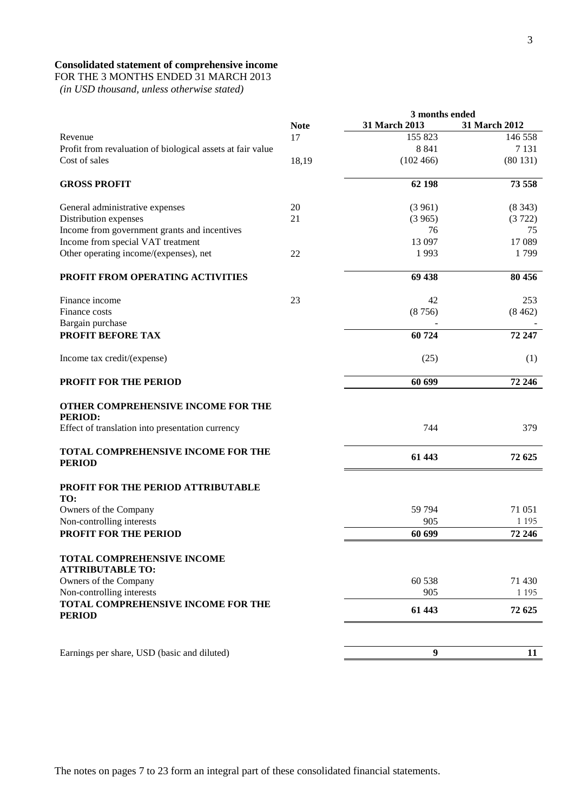# **Consolidated statement of comprehensive income**

FOR THE 3 MONTHS ENDED 31 MARCH 2013

 *(in USD thousand, unless otherwise stated)*

|                                                            |             | 3 months ended |               |  |
|------------------------------------------------------------|-------------|----------------|---------------|--|
|                                                            | <b>Note</b> | 31 March 2013  | 31 March 2012 |  |
| Revenue                                                    | 17          | 155 823        | 146 558       |  |
| Profit from revaluation of biological assets at fair value |             | 8 8 4 1        | 7 1 3 1       |  |
| Cost of sales                                              | 18,19       | (102466)       | (80131)       |  |
| <b>GROSS PROFIT</b>                                        |             | 62 198         | 73 558        |  |
| General administrative expenses                            | 20          | (3961)         | (8343)        |  |
| Distribution expenses                                      | 21          | (3965)         | (3722)        |  |
| Income from government grants and incentives               |             | 76             | 75            |  |
| Income from special VAT treatment                          |             | 13 097         | 17 089        |  |
| Other operating income/(expenses), net                     | 22          | 1993           | 1799          |  |
| PROFIT FROM OPERATING ACTIVITIES                           |             | 69 438         | 80 456        |  |
| Finance income                                             | 23          | 42             | 253           |  |
| Finance costs                                              |             | (8756)         | (8462)        |  |
| Bargain purchase                                           |             |                |               |  |
| PROFIT BEFORE TAX                                          |             | 60724          | 72 247        |  |
| Income tax credit/(expense)                                |             | (25)           | (1)           |  |
| <b>PROFIT FOR THE PERIOD</b>                               |             | 60 699         | 72 246        |  |
| OTHER COMPREHENSIVE INCOME FOR THE                         |             |                |               |  |
| <b>PERIOD:</b>                                             |             |                |               |  |
| Effect of translation into presentation currency           |             | 744            | 379           |  |
| TOTAL COMPREHENSIVE INCOME FOR THE<br><b>PERIOD</b>        |             | 61 443         | 72 625        |  |
| PROFIT FOR THE PERIOD ATTRIBUTABLE                         |             |                |               |  |
| TO:<br>Owners of the Company                               |             | 59 794         | 71 051        |  |
| Non-controlling interests                                  |             | 905            | 1 1 9 5       |  |
| PROFIT FOR THE PERIOD                                      |             | 60 699         | 72 246        |  |
| <b>TOTAL COMPREHENSIVE INCOME</b>                          |             |                |               |  |
| <b>ATTRIBUTABLE TO:</b>                                    |             |                |               |  |
| Owners of the Company                                      |             | 60 538         | 71 430        |  |
| Non-controlling interests                                  |             | 905            | 1 1 9 5       |  |
| <b>TOTAL COMPREHENSIVE INCOME FOR THE</b><br><b>PERIOD</b> |             | 61 443         | 72 625        |  |
|                                                            |             |                |               |  |
| Earnings per share, USD (basic and diluted)                |             | 9              | 11            |  |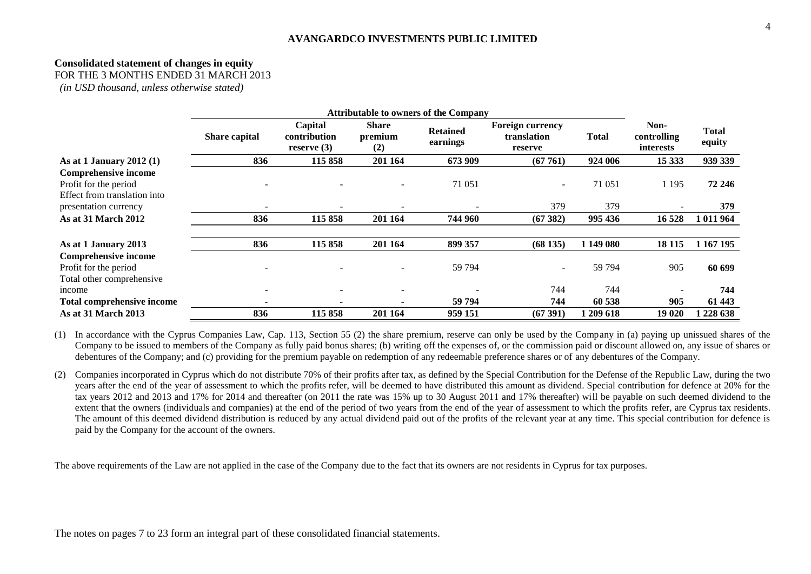# **Consolidated statement of changes in equity**

FOR THE 3 MONTHS ENDED 31 MARCH 2013

*(in USD thousand, unless otherwise stated)*

|                                                                                      | <b>Attributable to owners of the Company</b> |                                          |                                |                             |                                            |              |                                         |                 |
|--------------------------------------------------------------------------------------|----------------------------------------------|------------------------------------------|--------------------------------|-----------------------------|--------------------------------------------|--------------|-----------------------------------------|-----------------|
|                                                                                      | Share capital                                | Capital<br>contribution<br>reserve $(3)$ | <b>Share</b><br>premium<br>(2) | <b>Retained</b><br>earnings | Foreign currency<br>translation<br>reserve | <b>Total</b> | Non-<br>controlling<br><i>interests</i> | Total<br>equity |
| As at 1 January 2012 $(1)$                                                           | 836                                          | 115 858                                  | 201 164                        | 673 909                     | (67761)                                    | 924 006      | 15 3 33                                 | 939 339         |
| <b>Comprehensive income</b><br>Profit for the period<br>Effect from translation into |                                              |                                          |                                | 71 051                      | $\overline{\phantom{a}}$                   | 71 051       | 1 1 9 5                                 | 72 246          |
| presentation currency                                                                |                                              |                                          |                                |                             | 379                                        | 379          |                                         | 379             |
| As at 31 March 2012                                                                  | 836                                          | 115 858                                  | 201 164                        | 744 960                     | (67382)                                    | 995 436      | 16 528                                  | 1 011 964       |
| As at 1 January 2013                                                                 | 836                                          | 115 858                                  | 201 164                        | 899 357                     | (68135)                                    | 1 149 080    | 18 115                                  | 1 167 195       |
| <b>Comprehensive income</b>                                                          |                                              |                                          |                                |                             |                                            |              |                                         |                 |
| Profit for the period                                                                |                                              |                                          |                                | 59 794                      |                                            | 59 794       | 905                                     | 60 699          |
| Total other comprehensive                                                            |                                              |                                          |                                |                             |                                            |              |                                         |                 |
| income                                                                               |                                              | $\overline{\phantom{0}}$                 |                                |                             | 744                                        | 744          |                                         | 744             |
| Total comprehensive income                                                           |                                              |                                          |                                | 59 794                      | 744                                        | 60 538       | 905                                     | 61 443          |
| As at 31 March 2013                                                                  | 836                                          | 115 858                                  | 201 164                        | 959 151                     | (67391)                                    | 1 209 618    | 19 020                                  | 228 638         |

(1) In accordance with the Cyprus Companies Law, Cap. 113, Section 55 (2) the share premium, reserve can only be used by the Company in (a) paying up unissued shares of the Company to be issued to members of the Company as fully paid bonus shares; (b) writing off the expenses of, or the commission paid or discount allowed on, any issue of shares or debentures of the Company; and (c) providing for the premium payable on redemption of any redeemable preference shares or of any debentures of the Company.

(2) Companies incorporated in Cyprus which do not distribute 70% of their profits after tax, as defined by the Special Contribution for the Defense of the Republic Law, during the two years after the end of the year of assessment to which the profits refer, will be deemed to have distributed this amount as dividend. Special contribution for defence at 20% for the tax years 2012 and 2013 and 17% for 2014 and thereafter (on 2011 the rate was 15% up to 30 August 2011 and 17% thereafter) will be payable on such deemed dividend to the extent that the owners (individuals and companies) at the end of the period of two years from the end of the year of assessment to which the profits refer, are Cyprus tax residents. The amount of this deemed dividend distribution is reduced by any actual dividend paid out of the profits of the relevant year at any time. This special contribution for defence is paid by the Company for the account of the owners.

The above requirements of the Law are not applied in the case of the Company due to the fact that its owners are not residents in Cyprus for tax purposes.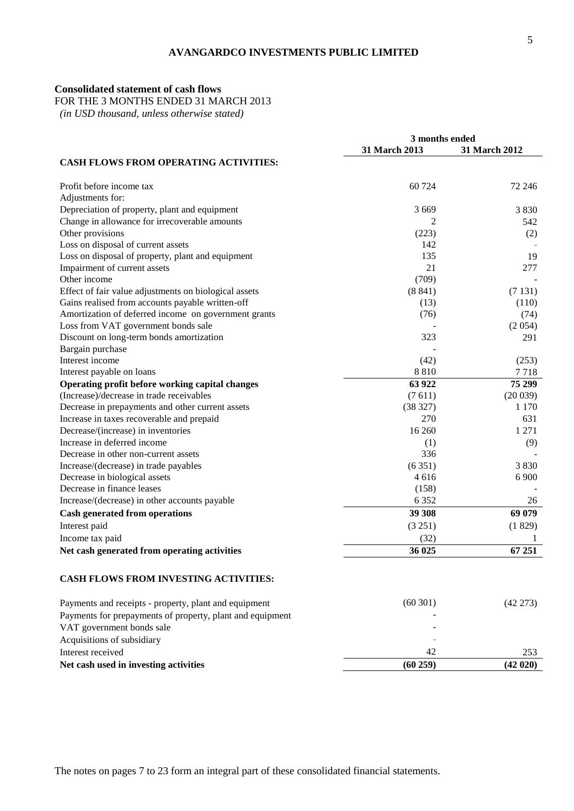#### **Consolidated statement of cash flows**

FOR THE 3 MONTHS ENDED 31 MARCH 2013

 *(in USD thousand, unless otherwise stated)*

|                                                           | 3 months ended |               |  |
|-----------------------------------------------------------|----------------|---------------|--|
|                                                           | 31 March 2013  | 31 March 2012 |  |
| <b>CASH FLOWS FROM OPERATING ACTIVITIES:</b>              |                |               |  |
| Profit before income tax                                  | 60 724         | 72 246        |  |
| Adjustments for:                                          |                |               |  |
| Depreciation of property, plant and equipment             | 3669           | 3 8 3 0       |  |
| Change in allowance for irrecoverable amounts             | 2              | 542           |  |
| Other provisions                                          | (223)          | (2)           |  |
| Loss on disposal of current assets                        | 142            |               |  |
| Loss on disposal of property, plant and equipment         | 135            | 19            |  |
| Impairment of current assets                              | 21             | 277           |  |
| Other income                                              | (709)          |               |  |
| Effect of fair value adjustments on biological assets     | (8841)         | (7131)        |  |
| Gains realised from accounts payable written-off          | (13)           | (110)         |  |
| Amortization of deferred income on government grants      | (76)           | (74)          |  |
| Loss from VAT government bonds sale                       |                | (2054)        |  |
| Discount on long-term bonds amortization                  | 323            | 291           |  |
| Bargain purchase                                          |                |               |  |
| Interest income                                           | (42)           | (253)         |  |
| Interest payable on loans                                 | 8810           | 7718          |  |
| Operating profit before working capital changes           | 63 922         | 75 299        |  |
| (Increase)/decrease in trade receivables                  | (7611)         | (20039)       |  |
| Decrease in prepayments and other current assets          | (38327)        | 1 1 7 0       |  |
| Increase in taxes recoverable and prepaid                 | 270            | 631           |  |
| Decrease/(increase) in inventories                        | 16 260         | 1 2 7 1       |  |
| Increase in deferred income                               | (1)            | (9)           |  |
| Decrease in other non-current assets                      | 336            |               |  |
| Increase/(decrease) in trade payables                     | (6351)         | 3830          |  |
| Decrease in biological assets                             | 4616           | 6 9 0 0       |  |
| Decrease in finance leases                                | (158)          |               |  |
| Increase/(decrease) in other accounts payable             | 6 3 5 2        | 26            |  |
| <b>Cash generated from operations</b>                     | 39 308         | 69 079        |  |
| Interest paid                                             | (3 251)        | (1829)        |  |
| Income tax paid                                           | (32)           | 1             |  |
| Net cash generated from operating activities              | 36 025         | 67 251        |  |
| CASH FLOWS FROM INVESTING ACTIVITIES:                     |                |               |  |
| Payments and receipts - property, plant and equipment     | (60301)        | $(42\;273)$   |  |
| Payments for prepayments of property, plant and equipment |                |               |  |
| VAT government bonds sale                                 |                |               |  |
| Acquisitions of subsidiary                                |                |               |  |
| Interest received                                         | 42             | 253           |  |
| Net cash used in investing activities                     | (60 259)       | (42 020)      |  |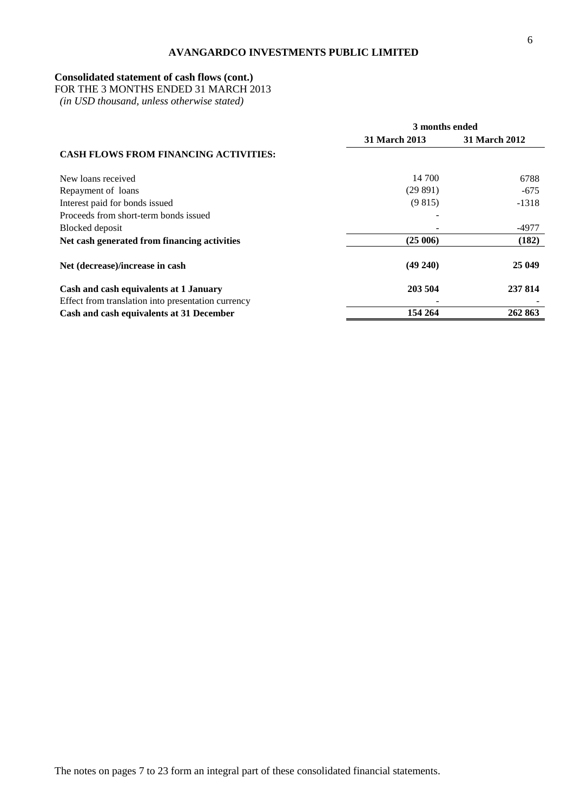# **Consolidated statement of cash flows (cont.)**

FOR THE 3 MONTHS ENDED 31 MARCH 2013

 *(in USD thousand, unless otherwise stated)*

|                                                    | 3 months ended       |                      |  |  |
|----------------------------------------------------|----------------------|----------------------|--|--|
|                                                    | <b>31 March 2013</b> | <b>31 March 2012</b> |  |  |
| <b>CASH FLOWS FROM FINANCING ACTIVITIES:</b>       |                      |                      |  |  |
| New loans received                                 | 14 700               | 6788                 |  |  |
| Repayment of loans                                 | (29891)              | $-675$               |  |  |
| Interest paid for bonds issued                     | (9815)               | $-1318$              |  |  |
| Proceeds from short-term bonds issued              |                      |                      |  |  |
| Blocked deposit                                    |                      | -4977                |  |  |
| Net cash generated from financing activities       | (25006)              | (182)                |  |  |
| Net (decrease)/increase in cash                    | $(49\ 240)$          | 25 049               |  |  |
| Cash and cash equivalents at 1 January             | 203 504              | 237 814              |  |  |
| Effect from translation into presentation currency |                      |                      |  |  |
| Cash and cash equivalents at 31 December           | 154 264              | 262 863              |  |  |

The notes on pages 7 to 23 form an integral part of these consolidated financial statements.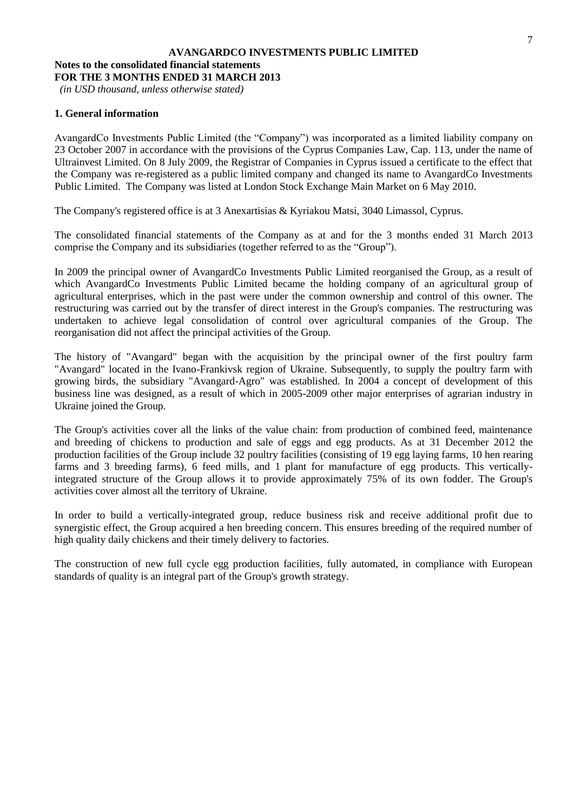# **AVANGARDCO INVESTMENTS PUBLIC LIMITED Notes to the consolidated financial statements FOR THE 3 MONTHS ENDED 31 MARCH 2013**

*(in USD thousand, unless otherwise stated)*

# **1. General information**

AvangardCo Investments Public Limited (the "Company") was incorporated as a limited liability company on 23 October 2007 in accordance with the provisions of the Cyprus Companies Law, Cap. 113, under the name of Ultrainvest Limited. On 8 July 2009, the Registrar of Companies in Cyprus issued a certificate to the effect that the Company was re-registered as a public limited company and changed its name to AvangardCo Investments Public Limited. The Company was listed at London Stock Exchange Main Market on 6 May 2010.

The Company's registered office is at 3 Anexartisias & Kyriakou Matsi, 3040 Limassol, Cyprus.

The consolidated financial statements of the Company as at and for the 3 months ended 31 March 2013 comprise the Company and its subsidiaries (together referred to as the "Group").

In 2009 the principal owner of AvangardCo Investments Public Limited reorganised the Group, as a result of which AvangardCo Investments Public Limited became the holding company of an agricultural group of agricultural enterprises, which in the past were under the common ownership and control of this owner. The restructuring was carried out by the transfer of direct interest in the Group's companies. The restructuring was undertaken to achieve legal consolidation of control over agricultural companies of the Group. The reorganisation did not affect the principal activities of the Group.

The history of "Avangard" began with the acquisition by the principal owner of the first poultry farm "Avangard" located in the Ivano-Frankivsk region of Ukraine. Subsequently, to supply the poultry farm with growing birds, the subsidiary "Avangard-Agro" was established. In 2004 a concept of development of this business line was designed, as a result of which in 2005-2009 other major enterprises of agrarian industry in Ukraine joined the Group.

The Group's activities cover all the links of the value chain: from production of combined feed, maintenance and breeding of chickens to production and sale of eggs and egg products. As at 31 December 2012 the production facilities of the Group include 32 poultry facilities (consisting of 19 egg laying farms, 10 hen rearing farms and 3 breeding farms), 6 feed mills, and 1 plant for manufacture of egg products. This verticallyintegrated structure of the Group allows it to provide approximately 75% of its own fodder. The Group's activities cover almost all the territory of Ukraine.

In order to build a vertically-integrated group, reduce business risk and receive additional profit due to synergistic effect, the Group acquired a hen breeding concern. This ensures breeding of the required number of high quality daily chickens and their timely delivery to factories.

The construction of new full cycle egg production facilities, fully automated, in compliance with European standards of quality is an integral part of the Group's growth strategy.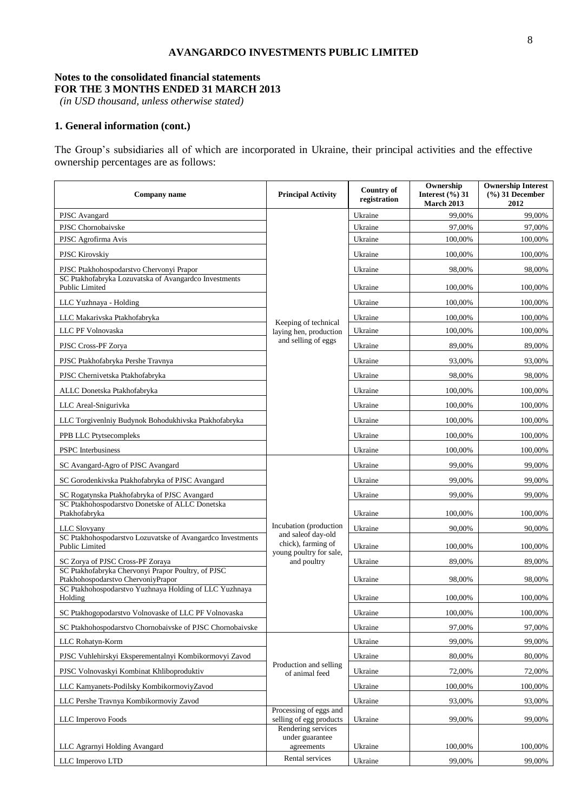# **Notes to the consolidated financial statements FOR THE 3 MONTHS ENDED 31 MARCH 2013**

*(in USD thousand, unless otherwise stated)*

# **1. General information (cont.)**

The Group's subsidiaries all of which are incorporated in Ukraine, their principal activities and the effective ownership percentages are as follows:

| Company name                                                                             | <b>Principal Activity</b>                                           | Country of<br>registration | Ownership<br>Interest $(\frac{6}{6})$ 31<br>March 2013 | <b>Ownership Interest</b><br>$(\%)$ 31 December<br>2012 |
|------------------------------------------------------------------------------------------|---------------------------------------------------------------------|----------------------------|--------------------------------------------------------|---------------------------------------------------------|
| PJSC Avangard                                                                            |                                                                     | Ukraine                    | 99,00%                                                 | 99,00%                                                  |
| PJSC Chornobaivske                                                                       |                                                                     | Ukraine                    | 97,00%                                                 | 97,00%                                                  |
| PJSC Agrofirma Avis                                                                      |                                                                     | Ukraine                    | 100,00%                                                | 100,00%                                                 |
| <b>PJSC Kirovskiy</b>                                                                    |                                                                     | Ukraine                    | 100,00%                                                | 100,00%                                                 |
| PJSC Ptakhohospodarstvo Chervonyi Prapor                                                 |                                                                     | Ukraine                    | 98,00%                                                 | 98,00%                                                  |
| SC Ptakhofabryka Lozuvatska of Avangardco Investments<br>Public Limited                  |                                                                     | Ukraine                    | 100,00%                                                | 100,00%                                                 |
| LLC Yuzhnaya - Holding                                                                   |                                                                     | Ukraine                    | 100,00%                                                | 100,00%                                                 |
| LLC Makarivska Ptakhofabryka                                                             | Keeping of technical                                                | Ukraine                    | 100,00%                                                | 100,00%                                                 |
| LLC PF Volnovaska                                                                        | laying hen, production                                              | Ukraine                    | 100,00%                                                | 100,00%                                                 |
| PJSC Cross-PF Zorya                                                                      | and selling of eggs                                                 | Ukraine                    | 89,00%                                                 | 89,00%                                                  |
| PJSC Ptakhofabryka Pershe Travnya                                                        |                                                                     | Ukraine                    | 93,00%                                                 | 93,00%                                                  |
| PJSC Chernivetska Ptakhofabryka                                                          |                                                                     | Ukraine                    | 98,00%                                                 | 98,00%                                                  |
| ALLC Donetska Ptakhofabryka                                                              |                                                                     | Ukraine                    | 100,00%                                                | 100,00%                                                 |
| LLC Areal-Snigurivka                                                                     |                                                                     | Ukraine                    | 100,00%                                                | 100,00%                                                 |
| LLC Torgivenlniy Budynok Bohodukhivska Ptakhofabryka                                     |                                                                     | Ukraine                    | 100,00%                                                | 100,00%                                                 |
| PPB LLC Ptytsecompleks                                                                   |                                                                     | Ukraine                    | 100,00%                                                | 100,00%                                                 |
| <b>PSPC</b> Interbusiness                                                                |                                                                     | Ukraine                    | 100,00%                                                | 100,00%                                                 |
| SC Avangard-Agro of PJSC Avangard                                                        |                                                                     | Ukraine                    | 99,00%                                                 | 99,00%                                                  |
| SC Gorodenkivska Ptakhofabryka of PJSC Avangard                                          |                                                                     | Ukraine                    | 99,00%                                                 | 99,00%                                                  |
| SC Rogatynska Ptakhofabryka of PJSC Avangard                                             |                                                                     | Ukraine                    | 99,00%                                                 | 99,00%                                                  |
| SC Ptakhohospodarstvo Donetske of ALLC Donetska<br>Ptakhofabryka                         |                                                                     | Ukraine                    | 100,00%                                                | 100,00%                                                 |
| LLC Slovyany                                                                             | Incubation (production                                              | Ukraine                    | 90,00%                                                 | 90,00%                                                  |
| SC Ptakhohospodarstvo Lozuvatske of Avangardco Investments<br>Public Limited             | and saleof day-old<br>chick), farming of<br>young poultry for sale, | Ukraine                    | 100,00%                                                | 100,00%                                                 |
| SC Zorya of PJSC Cross-PF Zoraya                                                         | and poultry                                                         | Ukraine                    | 89,00%                                                 | 89,00%                                                  |
| SC Ptakhofabryka Chervonyi Prapor Poultry, of PJSC<br>Ptakhohospodarstvo ChervoniyPrapor |                                                                     | Ukraine                    | 98,00%                                                 | 98,00%                                                  |
| SC Ptakhohospodarstvo Yuzhnaya Holding of LLC Yuzhnaya<br>Holding                        |                                                                     | Ukraine                    | 100,00%                                                | 100,00%                                                 |
| SC Ptakhogopodarstvo Volnovaske of LLC PF Volnovaska                                     |                                                                     | Ukraine                    | 100,00%                                                | 100,00%                                                 |
| SC Ptakhohospodarstvo Chornobaivske of PJSC Chornobaivske                                |                                                                     | Ukraine                    | 97.00%                                                 | 97,00%                                                  |
| LLC Rohatyn-Korm                                                                         |                                                                     | Ukraine                    | 99,00%                                                 | 99,00%                                                  |
| PJSC Vuhlehirskyi Eksperementalnyi Kombikormovyi Zavod                                   |                                                                     | Ukraine                    | 80,00%                                                 | 80,00%                                                  |
| PJSC Volnovaskyi Kombinat Khliboproduktiv                                                | Production and selling<br>of animal feed                            | Ukraine                    | 72,00%                                                 | 72,00%                                                  |
| LLC Kamyanets-Podilsky KombikormoviyZavod                                                |                                                                     | Ukraine                    | 100,00%                                                | 100,00%                                                 |
| LLC Pershe Travnya Kombikormoviy Zavod                                                   |                                                                     | Ukraine                    | 93,00%                                                 | 93,00%                                                  |
| LLC Imperovo Foods                                                                       | Processing of eggs and<br>selling of egg products                   | Ukraine                    | 99,00%                                                 | 99,00%                                                  |
|                                                                                          | Rendering services<br>under guarantee                               |                            |                                                        |                                                         |
| LLC Agrarnyi Holding Avangard                                                            | agreements                                                          | Ukraine                    | 100,00%                                                | 100,00%                                                 |
| LLC Imperovo LTD                                                                         | Rental services                                                     | Ukraine                    | 99,00%                                                 | 99,00%                                                  |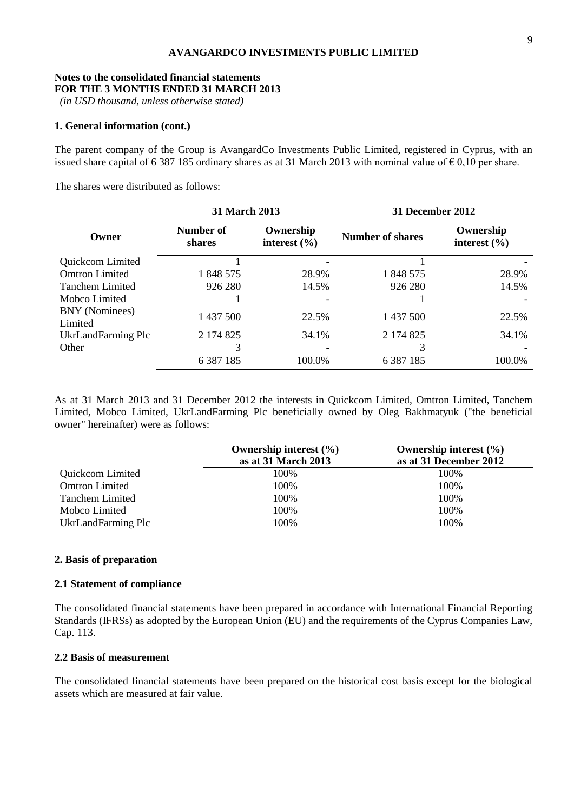# **Notes to the consolidated financial statements FOR THE 3 MONTHS ENDED 31 MARCH 2013**

*(in USD thousand, unless otherwise stated)*

#### **1. General information (cont.)**

The parent company of the Group is AvangardCo Investments Public Limited, registered in Cyprus, with an issued share capital of 6 387 185 ordinary shares as at 31 March 2013 with nominal value of  $\epsilon$  0,10 per share.

The shares were distributed as follows:

|                           | 31 March 2013              |                               | <b>31 December 2012</b> |                               |
|---------------------------|----------------------------|-------------------------------|-------------------------|-------------------------------|
| Owner                     | Number of<br><b>shares</b> | Ownership<br>interest $(\% )$ | <b>Number of shares</b> | Ownership<br>interest $(\% )$ |
| Quickcom Limited          |                            |                               |                         |                               |
| <b>Omtron Limited</b>     | 1 848 575                  | 28.9%                         | 1 848 575               | 28.9%                         |
| <b>Tanchem Limited</b>    | 926 280                    | 14.5%                         | 926 280                 | 14.5%                         |
| Mobco Limited             |                            |                               |                         |                               |
| BNY (Nominees)<br>Limited | 1 437 500                  | 22.5%                         | 1 437 500               | 22.5%                         |
| UkrLandFarming Plc        | 2 174 825                  | 34.1%                         | 2 174 825               | 34.1%                         |
| Other                     | 3                          |                               |                         |                               |
|                           | 6 3 8 7 1 8 5              | 100.0%                        | 6 3 8 7 1 8 5           | 100.0%                        |

As at 31 March 2013 and 31 December 2012 the interests in Quickcom Limited, Omtron Limited, Tanchem Limited, Mobco Limited, UkrLandFarming Plc beneficially owned by Oleg Bakhmatyuk ("the beneficial owner" hereinafter) were as follows:

|                        | Ownership interest $(\% )$ | Ownership interest $(\% )$ |
|------------------------|----------------------------|----------------------------|
|                        | as at 31 March 2013        | as at 31 December 2012     |
| Quickcom Limited       | 100%                       | 100%                       |
| <b>Omtron Limited</b>  | 100%                       | 100%                       |
| <b>Tanchem Limited</b> | 100%                       | 100%                       |
| Mobco Limited          | 100%                       | 100%                       |
| UkrLandFarming Plc     | 100%                       | 100%                       |

#### **2. Basis of preparation**

# **2.1 Statement of compliance**

The consolidated financial statements have been prepared in accordance with International Financial Reporting Standards (IFRSs) as adopted by the European Union (EU) and the requirements of the Cyprus Companies Law, Cap. 113.

#### **2.2 Basis of measurement**

The consolidated financial statements have been prepared on the historical cost basis except for the biological assets which are measured at fair value.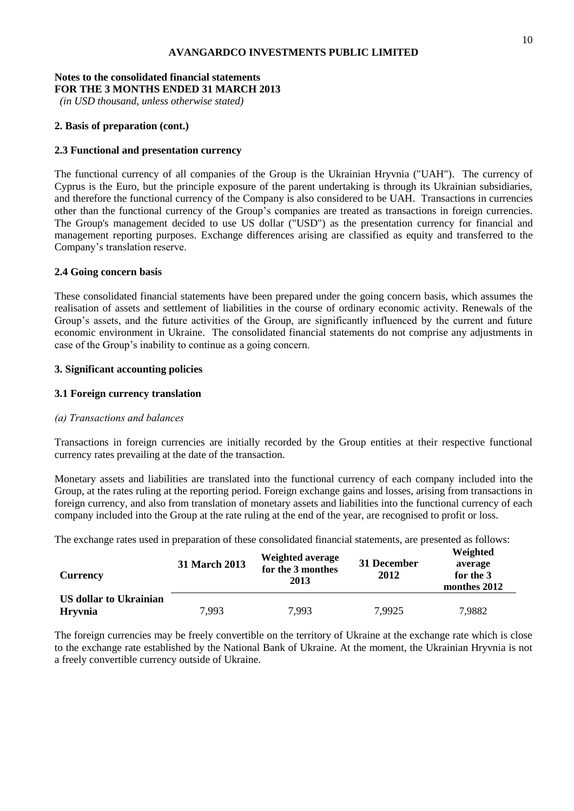#### **Notes to the consolidated financial statements FOR THE 3 MONTHS ENDED 31 MARCH 2013**

*(in USD thousand, unless otherwise stated)*

# **2. Basis of preparation (cont.)**

# **2.3 Functional and presentation currency**

The functional currency of all companies of the Group is the Ukrainian Hryvnia ("UAH"). The currency of Cyprus is the Euro, but the principle exposure of the parent undertaking is through its Ukrainian subsidiaries, and therefore the functional currency of the Company is also considered to be UAH. Transactions in currencies other than the functional currency of the Group's companies are treated as transactions in foreign currencies. The Group's management decided to use US dollar ("USD") as the presentation currency for financial and management reporting purposes. Exchange differences arising are classified as equity and transferred to the Company's translation reserve.

# **2.4 Going concern basis**

These consolidated financial statements have been prepared under the going concern basis, which assumes the realisation of assets and settlement of liabilities in the course of ordinary economic activity. Renewals of the Group's assets, and the future activities of the Group, are significantly influenced by the current and future economic environment in Ukraine. The consolidated financial statements do not comprise any adjustments in case of the Group's inability to continue as a going concern.

# **3. Significant accounting policies**

# **3.1 Foreign currency translation**

# *(а) Transactions and balances*

Transactions in foreign currencies are initially recorded by the Group entities at their respective functional currency rates prevailing at the date of the transaction.

Monetary assets and liabilities are translated into the functional currency of each company included into the Group, at the rates ruling at the reporting period. Foreign exchange gains and losses, arising from transactions in foreign currency, and also from translation of monetary assets and liabilities into the functional currency of each company included into the Group at the rate ruling at the end of the year, are recognised to profit or loss.

The exchange rates used in preparation of these consolidated financial statements, are presented as follows:

| <b>Currency</b>                          | 31 March 2013 | <b>Weighted average</b><br>for the 3 monthes<br>2013 | 31 December<br>2012 | Weighted<br>average<br>for the 3<br>monthes 2012 |
|------------------------------------------|---------------|------------------------------------------------------|---------------------|--------------------------------------------------|
| US dollar to Ukrainian<br><b>Hryvnia</b> | 7,993         | 7.993                                                | 7,9925              | 7,9882                                           |

The foreign currencies may be freely convertible on the territory of Ukraine at the exchange rate which is close to the exchange rate established by the National Bank of Ukraine. At the moment, the Ukrainian Hryvnia is not a freely convertible currency outside of Ukraine.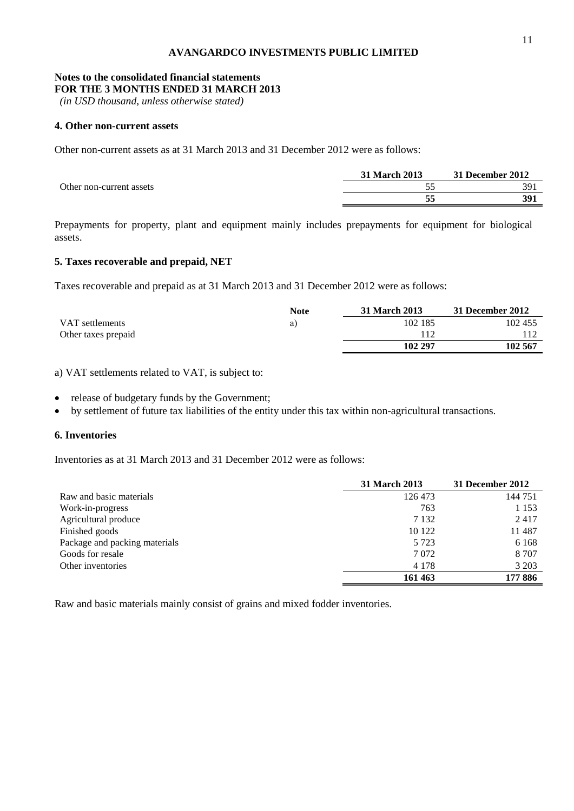#### **Notes to the consolidated financial statements FOR THE 3 MONTHS ENDED 31 MARCH 2013**

*(in USD thousand, unless otherwise stated)*

# **4. Other non-current assets**

Other non-current assets as at 31 March 2013 and 31 December 2012 were as follows:

|                          | 31 March 2013 | 31 December 2012 |
|--------------------------|---------------|------------------|
| Other non-current assets |               | 391              |
|                          |               | 391              |

Prepayments for property, plant and equipment mainly includes prepayments for equipment for biological assets.

# **5. Taxes recoverable and prepaid, NET**

Taxes recoverable and prepaid as at 31 March 2013 and 31 December 2012 were as follows:

|                     | Note | <b>31 March 2013</b> | 31 December 2012 |
|---------------------|------|----------------------|------------------|
| VAT settlements     | a)   | 102 185              | 102 455          |
| Other taxes prepaid |      |                      |                  |
|                     |      | 102 297              | 102 567          |

a) VAT settlements related to VAT, is subject to:

release of budgetary funds by the Government;

by settlement of future tax liabilities of the entity under this tax within non-agricultural transactions.

# **6. Inventories**

Inventories as at 31 March 2013 and 31 December 2012 were as follows:

|                               | 31 March 2013 | 31 December 2012 |
|-------------------------------|---------------|------------------|
| Raw and basic materials       | 126 473       | 144 751          |
| Work-in-progress              | 763           | 1 1 5 3          |
| Agricultural produce          | 7 1 3 2       | 2417             |
| Finished goods                | 10 122        | 11 487           |
| Package and packing materials | 5 7 2 3       | 6 1 6 8          |
| Goods for resale              | 7 0 7 2       | 8 7 0 7          |
| Other inventories             | 4 1 7 8       | 3 2 0 3          |
|                               | 161 463       | 177 886          |

Raw and basic materials mainly consist of grains and mixed fodder inventories.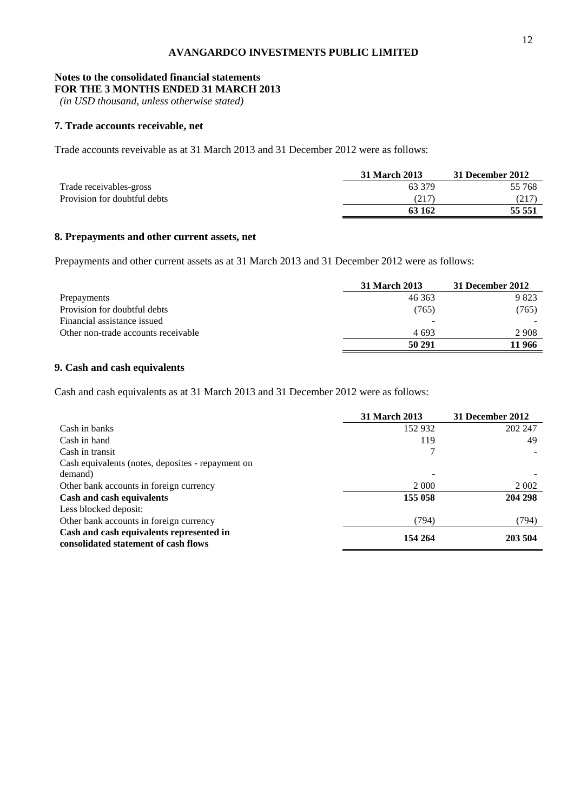#### **Notes to the consolidated financial statements FOR THE 3 MONTHS ENDED 31 MARCH 2013**

*(in USD thousand, unless otherwise stated)*

# **7. Trade accounts receivable, net**

Trade accounts reveivable as at 31 March 2013 and 31 December 2012 were as follows:

|                              | 31 March 2013 | 31 December 2012 |
|------------------------------|---------------|------------------|
| Trade receivables-gross      | 63 379        | 55 768           |
| Provision for doubtful debts | (217          | (217)            |
|                              | 63 162        | 55 551           |

# **8. Prepayments and other current assets, net**

Prepayments and other current assets as at 31 March 2013 and 31 December 2012 were as follows:

|                                     | <b>31 March 2013</b> | 31 December 2012 |
|-------------------------------------|----------------------|------------------|
| Prepayments                         | 46 363               | 9823             |
| Provision for doubtful debts        | (765)                | (765)            |
| Financial assistance issued         |                      |                  |
| Other non-trade accounts receivable | 4693                 | 2 9 0 8          |
|                                     | 50 291               | 11 966           |

# **9. Cash and cash equivalents**

Cash and cash equivalents as at 31 March 2013 and 31 December 2012 were as follows:

|                                                                                  | <b>31 March 2013</b> | 31 December 2012 |
|----------------------------------------------------------------------------------|----------------------|------------------|
| Cash in banks                                                                    | 152 932              | 202 247          |
| Cash in hand                                                                     | 119                  | 49               |
| Cash in transit                                                                  |                      |                  |
| Cash equivalents (notes, deposites - repayment on                                |                      |                  |
| demand)                                                                          |                      |                  |
| Other bank accounts in foreign currency                                          | 2 0 0 0              | 2 0 0 2          |
| Cash and cash equivalents                                                        | 155 058              | 204 298          |
| Less blocked deposit:                                                            |                      |                  |
| Other bank accounts in foreign currency                                          | (794)                | (794)            |
| Cash and cash equivalents represented in<br>consolidated statement of cash flows | 154 264              | 203 504          |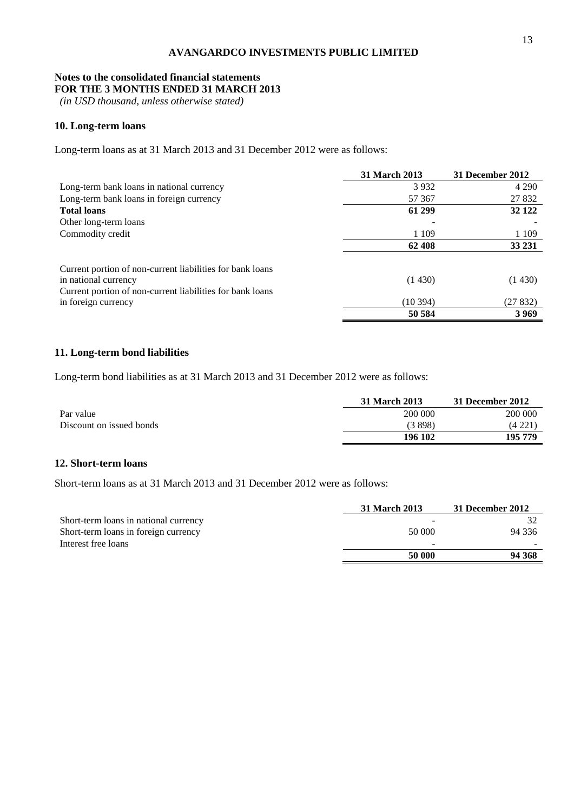### **Notes to the consolidated financial statements FOR THE 3 MONTHS ENDED 31 MARCH 2013**

*(in USD thousand, unless otherwise stated)*

# **10. Long-term loans**

Long-term loans as at 31 March 2013 and 31 December 2012 were as follows:

|                                                           | 31 March 2013 | 31 December 2012 |
|-----------------------------------------------------------|---------------|------------------|
| Long-term bank loans in national currency                 | 3932          | 4 2 9 0          |
| Long-term bank loans in foreign currency                  | 57 367        | 27 832           |
| <b>Total loans</b>                                        | 61 299        | 32 122           |
| Other long-term loans                                     |               |                  |
| Commodity credit                                          | 1 1 0 9       | 1 1 0 9          |
|                                                           | 62 408        | 33 231           |
| Current portion of non-current liabilities for bank loans |               |                  |
| in national currency                                      | (1430)        | (1430)           |
| Current portion of non-current liabilities for bank loans |               |                  |
| in foreign currency                                       | (10394)       | (27 832)         |
|                                                           | 50 584        | 3 9 6 9          |

# **11. Long-term bond liabilities**

Long-term bond liabilities as at 31 March 2013 and 31 December 2012 were as follows:

|                          | 31 March 2013 | 31 December 2012 |
|--------------------------|---------------|------------------|
| Par value                | 200 000       | 200 000          |
| Discount on issued bonds | (3898)        | (4221)           |
|                          | 196 102       | 195 779          |

# **12. Short-term loans**

Short-term loans as at 31 March 2013 and 31 December 2012 were as follows:

|                                       | 31 March 2013 | 31 December 2012 |
|---------------------------------------|---------------|------------------|
| Short-term loans in national currency |               |                  |
| Short-term loans in foreign currency  | 50 000        | 94 336           |
| Interest free loans                   |               |                  |
|                                       | 50 000        | 94 368           |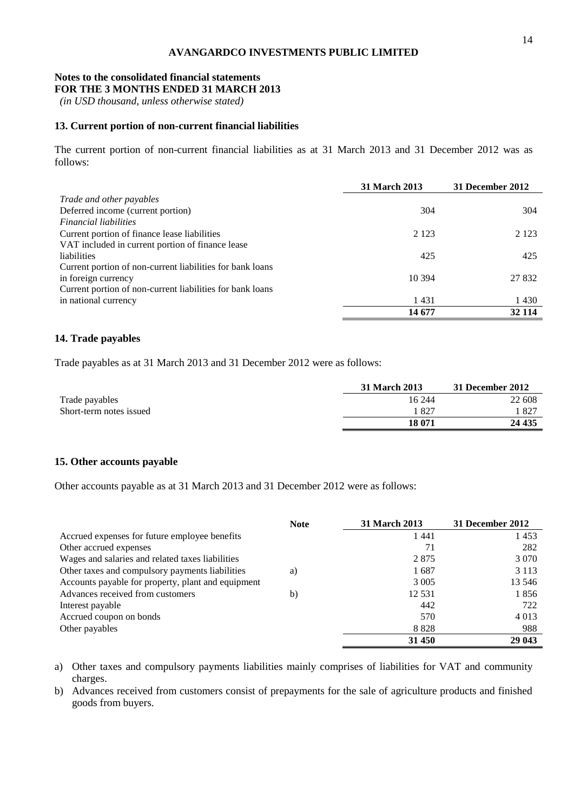#### **Notes to the consolidated financial statements FOR THE 3 MONTHS ENDED 31 MARCH 2013**

*(in USD thousand, unless otherwise stated)*

#### **13. Current portion of non-current financial liabilities**

The current portion of non-current financial liabilities as at 31 March 2013 and 31 December 2012 was as follows:

|                                                           | <b>31 March 2013</b> | 31 December 2012 |
|-----------------------------------------------------------|----------------------|------------------|
| Trade and other payables                                  |                      |                  |
| Deferred income (current portion)                         | 304                  | 304              |
| <i>Financial liabilities</i>                              |                      |                  |
| Current portion of finance lease liabilities              | 2 1 2 3              | 2 1 2 3          |
| VAT included in current portion of finance lease          |                      |                  |
| liabilities                                               | 425                  | 425              |
| Current portion of non-current liabilities for bank loans |                      |                  |
| in foreign currency                                       | 10 3 94              | 27 832           |
| Current portion of non-current liabilities for bank loans |                      |                  |
| in national currency                                      | 1431                 | 1430             |
|                                                           | 14 677               | 32 114           |

#### **14. Trade payables**

Trade payables as at 31 March 2013 and 31 December 2012 were as follows:

|                         | 31 March 2013 | 31 December 2012 |
|-------------------------|---------------|------------------|
| Trade payables          | 16 244        | 22 608           |
| Short-term notes issued | .827          | $182^{-}$        |
|                         | 18 071        | 24 435           |

# **15. Other accounts payable**

Other accounts payable as at 31 March 2013 and 31 December 2012 were as follows:

|                                                    | <b>Note</b> | <b>31 March 2013</b> | 31 December 2012 |
|----------------------------------------------------|-------------|----------------------|------------------|
| Accrued expenses for future employee benefits      |             | 1441                 | 1453             |
| Other accrued expenses                             |             | 71                   | 282              |
| Wages and salaries and related taxes liabilities   |             | 2875                 | 3 0 7 0          |
| Other taxes and compulsory payments liabilities    | a)          | 1687                 | 3 1 1 3          |
| Accounts payable for property, plant and equipment |             | 3 0 0 5              | 13 546           |
| Advances received from customers                   | b)          | 12 5 31              | 1856             |
| Interest payable                                   |             | 442                  | 722              |
| Accrued coupon on bonds                            |             | 570                  | 4 0 1 3          |
| Other payables                                     |             | 8828                 | 988              |
|                                                    |             | 31 450               | 29 043           |

a) Other taxes and compulsory payments liabilities mainly comprises of liabilities for VAT and community charges.

b) Advances received from customers consist of prepayments for the sale of agriculture products and finished goods from buyers.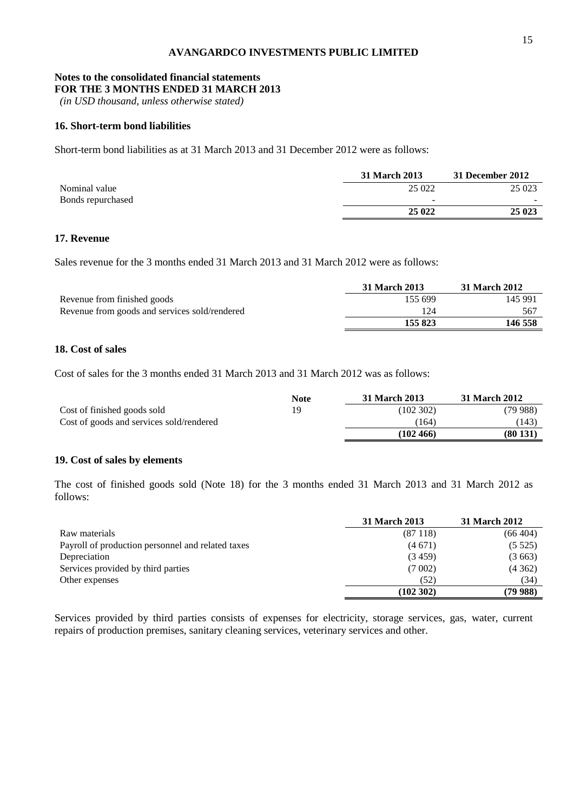#### **Notes to the consolidated financial statements FOR THE 3 MONTHS ENDED 31 MARCH 2013**

*(in USD thousand, unless otherwise stated)*

# **16. Short-term bond liabilities**

Short-term bond liabilities as at 31 March 2013 and 31 December 2012 were as follows:

|                   | 31 March 2013            | 31 December 2012 |
|-------------------|--------------------------|------------------|
| Nominal value     | 25 022                   | 25 023           |
| Bonds repurchased | $\overline{\phantom{a}}$ |                  |
|                   | 25 0 22                  | 25 023           |

# **17. Revenue**

Sales revenue for the 3 months ended 31 March 2013 and 31 March 2012 were as follows:

| 145 991<br>155 699 |
|--------------------|
| 124<br>567         |
| 146 558<br>155 823 |
|                    |

# **18. Cost of sales**

Cost of sales for the 3 months ended 31 March 2013 and 31 March 2012 was as follows:

|                                          | <b>Note</b> | 31 March 2013 | 31 March 2012 |
|------------------------------------------|-------------|---------------|---------------|
| Cost of finished goods sold              | 19          | (102302)      | (79988)       |
| Cost of goods and services sold/rendered |             | (164)         | (143)         |
|                                          |             | (102, 466)    | (80131)       |

# **19. Cost of sales by elements**

The cost of finished goods sold (Note 18) for the 3 months ended 31 March 2013 and 31 March 2012 as follows:

|                                                   | <b>31 March 2013</b> | <b>31 March 2012</b> |
|---------------------------------------------------|----------------------|----------------------|
| Raw materials                                     | (87118)              | (66404)              |
| Payroll of production personnel and related taxes | (4671)               | (5525)               |
| Depreciation                                      | (3459)               | (3663)               |
| Services provided by third parties                | (7002)               | (4362)               |
| Other expenses                                    | (52)                 | (34)                 |
|                                                   | (102302)             | (79 988)             |

Services provided by third parties consists of expenses for electricity, storage services, gas, water, current repairs of production premises, sanitary cleaning services, veterinary services and other.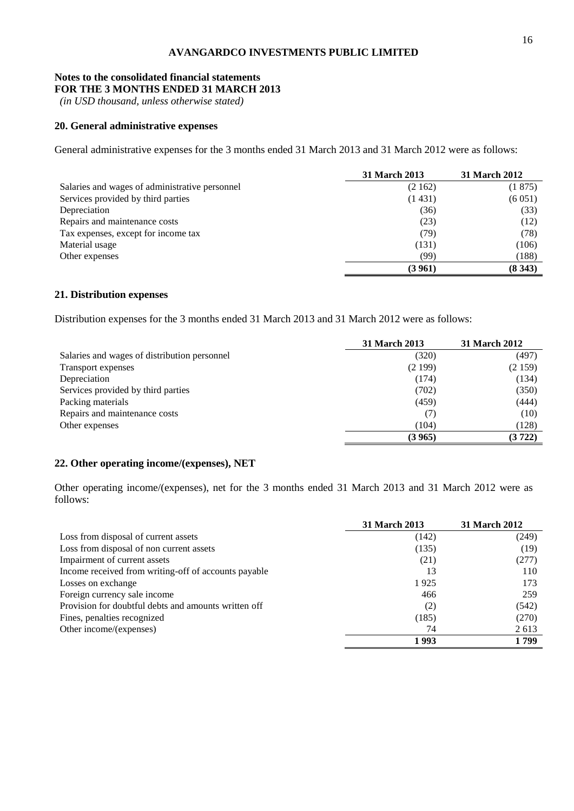#### **Notes to the consolidated financial statements FOR THE 3 MONTHS ENDED 31 MARCH 2013**

*(in USD thousand, unless otherwise stated)*

# **20. General administrative expenses**

General administrative expenses for the 3 months ended 31 March 2013 and 31 March 2012 were as follows:

|                                                | <b>31 March 2013</b> | <b>31 March 2012</b> |
|------------------------------------------------|----------------------|----------------------|
| Salaries and wages of administrative personnel | (2162)               | (1875)               |
| Services provided by third parties             | (1431)               | (6051)               |
| Depreciation                                   | (36)                 | (33)                 |
| Repairs and maintenance costs                  | (23)                 | (12)                 |
| Tax expenses, except for income tax            | (79)                 | (78)                 |
| Material usage                                 | (131)                | (106)                |
| Other expenses                                 | (99)                 | (188)                |
|                                                | (3961)               | (8343)               |

# **21. Distribution expenses**

Distribution expenses for the 3 months ended 31 March 2013 and 31 March 2012 were as follows:

|                                              | 31 March 2013 | 31 March 2012 |
|----------------------------------------------|---------------|---------------|
| Salaries and wages of distribution personnel | (320)         | (497)         |
| Transport expenses                           | (2199)        | (2159)        |
| Depreciation                                 | (174)         | (134)         |
| Services provided by third parties           | (702)         | (350)         |
| Packing materials                            | (459)         | (444)         |
| Repairs and maintenance costs                | $($ /         | (10)          |
| Other expenses                               | (104)         | (128)         |
|                                              | (3 965)       | (3722)        |

# **22. Other operating income/(expenses), NET**

Other operating income/(expenses), net for the 3 months ended 31 March 2013 and 31 March 2012 were as follows:

|                                                      | <b>31 March 2013</b> | <b>31 March 2012</b> |
|------------------------------------------------------|----------------------|----------------------|
| Loss from disposal of current assets                 | (142)                | (249)                |
| Loss from disposal of non current assets             | (135)                | (19)                 |
| Impairment of current assets                         | (21)                 | (277)                |
| Income received from writing-off of accounts payable | 13                   | 110                  |
| Losses on exchange                                   | 1925                 | 173                  |
| Foreign currency sale income                         | 466                  | 259                  |
| Provision for doubtful debts and amounts written off | (2)                  | (542)                |
| Fines, penalties recognized                          | (185)                | (270)                |
| Other income/(expenses)                              | 74                   | 2 6 1 3              |
|                                                      | 1993                 | 1 799                |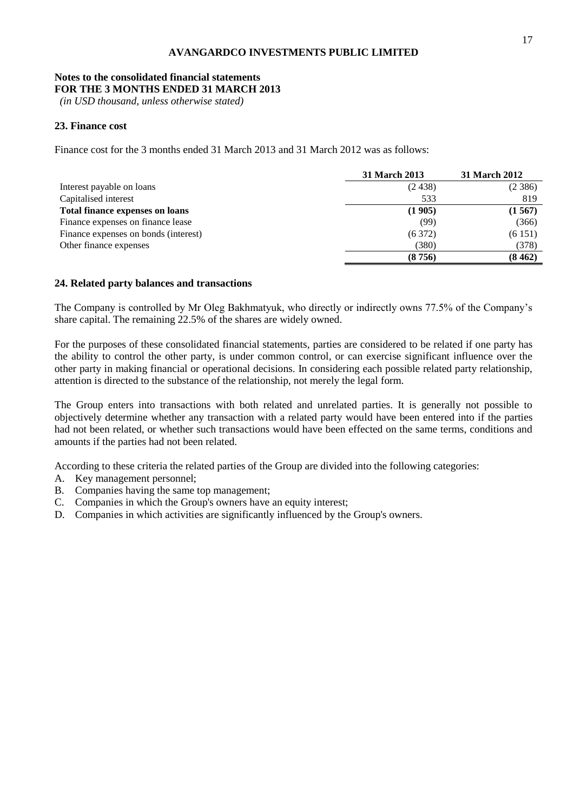#### **Notes to the consolidated financial statements FOR THE 3 MONTHS ENDED 31 MARCH 2013**

*(in USD thousand, unless otherwise stated)*

# **23. Finance cost**

Finance cost for the 3 months ended 31 March 2013 and 31 March 2012 was as follows:

|                                        | 31 March 2013 | 31 March 2012 |
|----------------------------------------|---------------|---------------|
| Interest payable on loans              | (2438)        | (2386)        |
| Capitalised interest                   | 533           | 819           |
| <b>Total finance expenses on loans</b> | (1905)        | (1567)        |
| Finance expenses on finance lease      | (99)          | (366)         |
| Finance expenses on bonds (interest)   | (6372)        | (6151)        |
| Other finance expenses                 | (380)         | (378)         |
|                                        | (8756)        | (8462)        |

### **24. Related party balances and transactions**

The Company is controlled by Mr Oleg Bakhmatyuk, who directly or indirectly owns 77.5% of the Company's share capital. The remaining 22.5% of the shares are widely owned.

For the purposes of these consolidated financial statements, parties are considered to be related if one party has the ability to control the other party, is under common control, or can exercise significant influence over the other party in making financial or operational decisions. In considering each possible related party relationship, attention is directed to the substance of the relationship, not merely the legal form.

The Group enters into transactions with both related and unrelated parties. It is generally not possible to objectively determine whether any transaction with a related party would have been entered into if the parties had not been related, or whether such transactions would have been effected on the same terms, conditions and amounts if the parties had not been related.

According to these criteria the related parties of the Group are divided into the following categories:

- A. Key management personnel;
- B. Companies having the same top management;
- C. Companies in which the Group's owners have an equity interest;
- D. Companies in which activities are significantly influenced by the Group's owners.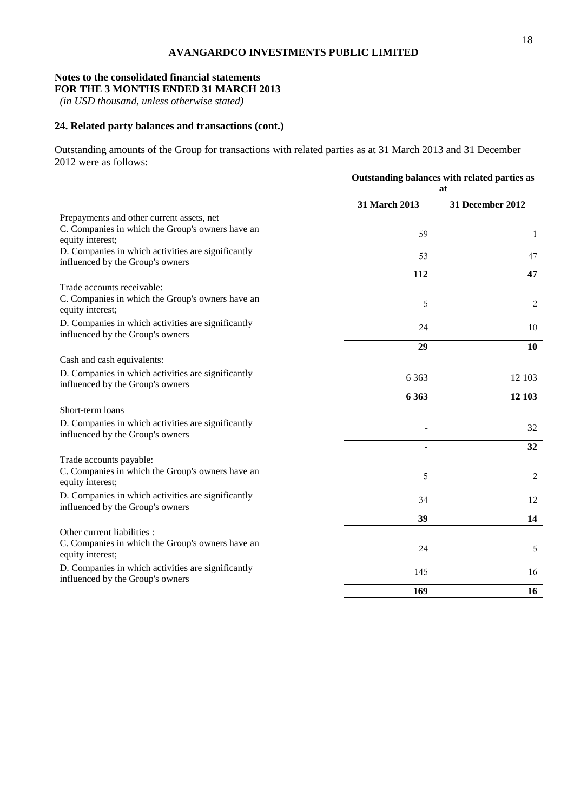### **Notes to the consolidated financial statements FOR THE 3 MONTHS ENDED 31 MARCH 2013**

*(in USD thousand, unless otherwise stated)*

# **24. Related party balances and transactions (cont.)**

Outstanding amounts of the Group for transactions with related parties as at 31 March 2013 and 31 December 2012 were as follows:

|                                                                                                                   | Outstanding balances with related parties as<br>at |                  |  |
|-------------------------------------------------------------------------------------------------------------------|----------------------------------------------------|------------------|--|
|                                                                                                                   | 31 March 2013                                      | 31 December 2012 |  |
| Prepayments and other current assets, net<br>C. Companies in which the Group's owners have an<br>equity interest; | 59                                                 | $\mathbf{1}$     |  |
| D. Companies in which activities are significantly<br>influenced by the Group's owners                            | 53                                                 | 47               |  |
|                                                                                                                   | 112                                                | 47               |  |
| Trade accounts receivable:<br>C. Companies in which the Group's owners have an<br>equity interest;                | 5                                                  | 2                |  |
| D. Companies in which activities are significantly<br>influenced by the Group's owners                            | 24                                                 | 10               |  |
|                                                                                                                   | 29                                                 | 10               |  |
| Cash and cash equivalents:                                                                                        |                                                    |                  |  |
| D. Companies in which activities are significantly<br>influenced by the Group's owners                            | 6 3 6 3                                            | 12 103           |  |
|                                                                                                                   | 6 3 6 3                                            | 12 103           |  |
| Short-term loans                                                                                                  |                                                    |                  |  |
| D. Companies in which activities are significantly<br>influenced by the Group's owners                            |                                                    | 32               |  |
|                                                                                                                   | ٠                                                  | 32               |  |
| Trade accounts payable:<br>C. Companies in which the Group's owners have an<br>equity interest;                   | 5                                                  | 2                |  |
| D. Companies in which activities are significantly<br>influenced by the Group's owners                            | 34                                                 | 12               |  |
|                                                                                                                   | 39                                                 | 14               |  |
| Other current liabilities :<br>C. Companies in which the Group's owners have an<br>equity interest;               | 24                                                 | 5                |  |
| D. Companies in which activities are significantly<br>influenced by the Group's owners                            | 145                                                | 16               |  |
|                                                                                                                   | 169                                                | 16               |  |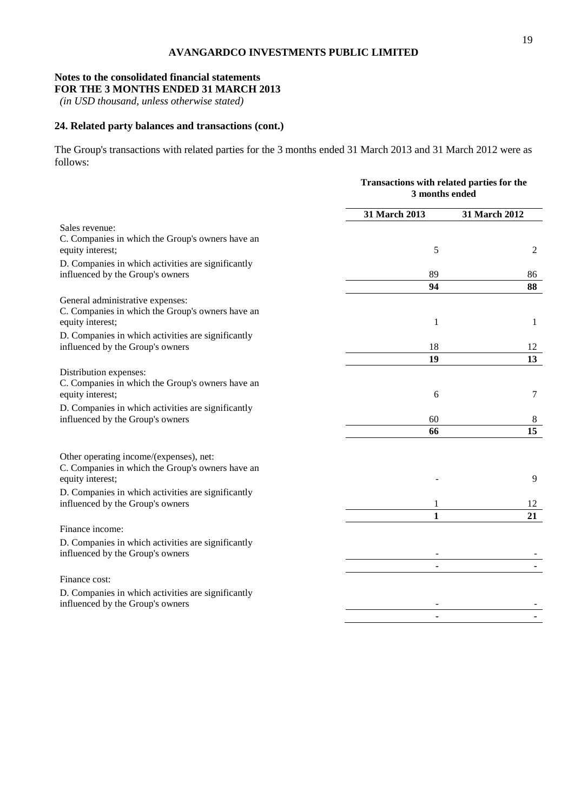### **Notes to the consolidated financial statements FOR THE 3 MONTHS ENDED 31 MARCH 2013**

*(in USD thousand, unless otherwise stated)*

# **24. Related party balances and transactions (cont.)**

The Group's transactions with related parties for the 3 months ended 31 March 2013 and 31 March 2012 were as follows:

|                                                                                                                 |                   | Transactions with related parties for the<br>3 months ended |  |  |
|-----------------------------------------------------------------------------------------------------------------|-------------------|-------------------------------------------------------------|--|--|
|                                                                                                                 | 31 March 2013     | 31 March 2012                                               |  |  |
| Sales revenue:<br>C. Companies in which the Group's owners have an<br>equity interest;                          | 5                 | 2                                                           |  |  |
| D. Companies in which activities are significantly<br>influenced by the Group's owners                          | 89                | 86                                                          |  |  |
|                                                                                                                 | 94                | 88                                                          |  |  |
| General administrative expenses:<br>C. Companies in which the Group's owners have an<br>equity interest;        | 1                 | 1                                                           |  |  |
| D. Companies in which activities are significantly<br>influenced by the Group's owners                          | 18                | 12                                                          |  |  |
|                                                                                                                 | 19                | 13                                                          |  |  |
| Distribution expenses:<br>C. Companies in which the Group's owners have an<br>equity interest;                  | 6                 | 7                                                           |  |  |
| D. Companies in which activities are significantly<br>influenced by the Group's owners                          | 60                | 8                                                           |  |  |
|                                                                                                                 | 66                | 15                                                          |  |  |
| Other operating income/(expenses), net:<br>C. Companies in which the Group's owners have an<br>equity interest; |                   | 9                                                           |  |  |
| D. Companies in which activities are significantly<br>influenced by the Group's owners                          | 1<br>$\mathbf{1}$ | 12<br>21                                                    |  |  |
| Finance income:                                                                                                 |                   |                                                             |  |  |
| D. Companies in which activities are significantly<br>influenced by the Group's owners                          |                   |                                                             |  |  |
|                                                                                                                 |                   |                                                             |  |  |
| Finance cost:                                                                                                   |                   |                                                             |  |  |
| D. Companies in which activities are significantly<br>influenced by the Group's owners                          |                   |                                                             |  |  |
|                                                                                                                 |                   |                                                             |  |  |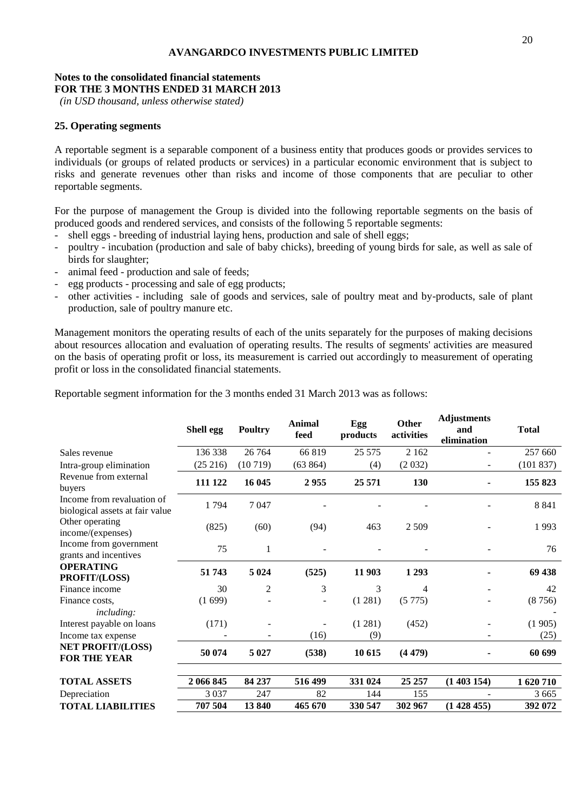# **Notes to the consolidated financial statements FOR THE 3 MONTHS ENDED 31 MARCH 2013**

*(in USD thousand, unless otherwise stated)*

# **25. Operating segments**

A reportable segment is a separable component of a business entity that produces goods or provides services to individuals (or groups of related products or services) in a particular economic environment that is subject to risks and generate revenues other than risks and income of those components that are peculiar to other reportable segments.

For the purpose of management the Group is divided into the following reportable segments on the basis of produced goods and rendered services, and consists of the following 5 reportable segments:

- shell eggs breeding of industrial laying hens, production and sale of shell eggs;
- poultry incubation (production and sale of baby chicks), breeding of young birds for sale, as well as sale of birds for slaughter;
- animal feed production and sale of feeds;
- egg products processing and sale of egg products;
- other activities including sale of goods and services, sale of poultry meat and by-products, sale of plant production, sale of poultry manure etc.

Management monitors the operating results of each of the units separately for the purposes of making decisions about resources allocation and evaluation of operating results. The results of segments' activities are measured on the basis of operating profit or loss, its measurement is carried out accordingly to measurement of operating profit or loss in the consolidated financial statements.

Reportable segment information for the 3 months ended 31 March 2013 was as follows:

|                                                               | Shell egg | <b>Poultry</b> | Animal<br>feed | Egg<br>products | <b>Other</b><br>activities | <b>Adjustments</b><br>and<br>elimination | <b>Total</b> |
|---------------------------------------------------------------|-----------|----------------|----------------|-----------------|----------------------------|------------------------------------------|--------------|
| Sales revenue                                                 | 136 338   | 26 7 64        | 66 819         | 25 5 7 5        | 2 1 6 2                    |                                          | 257 660      |
| Intra-group elimination                                       | (25 216)  | (10719)        | (63 864)       | (4)             | (2032)                     | $\overline{\phantom{0}}$                 | (101 837)    |
| Revenue from external<br>buyers                               | 111 122   | 16 045         | 2955           | 25 571          | 130                        |                                          | 155 823      |
| Income from revaluation of<br>biological assets at fair value | 1794      | 7047           |                |                 |                            |                                          | 8 8 4 1      |
| Other operating<br>income/(expenses)                          | (825)     | (60)           | (94)           | 463             | 2 5 0 9                    |                                          | 1993         |
| Income from government<br>grants and incentives               | 75        | 1              |                |                 |                            |                                          | 76           |
| <b>OPERATING</b><br>PROFIT/(LOSS)                             | 51 743    | 5 0 24         | (525)          | 11 903          | 1 2 9 3                    |                                          | 69 438       |
| Finance income                                                | 30        | $\overline{2}$ | 3              | 3               | 4                          |                                          | 42           |
| Finance costs.<br><i>including:</i>                           | (1699)    |                |                | (1 281)         | (5775)                     |                                          | (8756)       |
| Interest payable on loans                                     | (171)     |                |                | (1 281)         | (452)                      |                                          | (1905)       |
| Income tax expense                                            |           |                | (16)           | (9)             |                            |                                          | (25)         |
| <b>NET PROFIT/(LOSS)</b><br><b>FOR THE YEAR</b>               | 50 074    | 5 0 2 7        | (538)          | 10 615          | (4479)                     |                                          | 60 699       |
| <b>TOTAL ASSETS</b>                                           | 2 066 845 | 84 237         | 516 499        | 331 024         | 25 25 7                    | (1403154)                                | 1620710      |
| Depreciation                                                  | 3 0 3 7   | 247            | 82             | 144             | 155                        |                                          | 3 6 6 5      |
| <b>TOTAL LIABILITIES</b>                                      | 707 504   | 13840          | 465 670        | 330 547         | 302 967                    | (1428455)                                | 392 072      |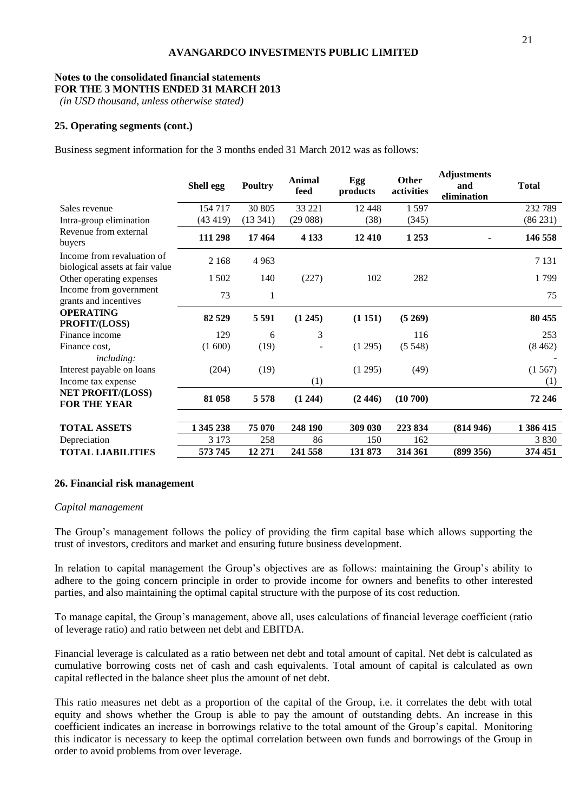# **Notes to the consolidated financial statements FOR THE 3 MONTHS ENDED 31 MARCH 2013**

*(in USD thousand, unless otherwise stated)*

# **25. Operating segments (cont.)**

Business segment information for the 3 months ended 31 March 2012 was as follows:

|                                                                      | Shell egg | <b>Poultry</b> | Animal<br>feed | Egg<br>products | Other<br>activities | <b>Adjustments</b><br>and<br>elimination | <b>Total</b>  |
|----------------------------------------------------------------------|-----------|----------------|----------------|-----------------|---------------------|------------------------------------------|---------------|
| Sales revenue                                                        | 154 717   | 30 805         | 33 221         | 12 4 48         | 1 5 9 7             |                                          | 232 789       |
| Intra-group elimination                                              | (43419)   | (13341)        | (29088)        | (38)            | (345)               |                                          | (86 231)      |
| Revenue from external<br>buyers                                      | 111 298   | 17464          | 4 1 3 3        | 12 4 10         | 1 2 5 3             |                                          | 146 558       |
| Income from revaluation of<br>biological assets at fair value        | 2 1 6 8   | 4 9 6 3        |                |                 |                     |                                          | 7 1 3 1       |
| Other operating expenses                                             | 1 502     | 140            | (227)          | 102             | 282                 |                                          | 1799          |
| Income from government<br>grants and incentives                      | 73        | 1              |                |                 |                     |                                          | 75            |
| <b>OPERATING</b><br>PROFIT/(LOSS)                                    | 82 529    | 5 5 9 1        | (1245)         | (1151)          | (5269)              |                                          | 80 455        |
| Finance income                                                       | 129       | 6              | 3              |                 | 116                 |                                          | 253           |
| Finance cost,                                                        | (1600)    | (19)           |                | (1295)          | (5548)              |                                          | (8462)        |
| <i>including:</i><br>Interest payable on loans<br>Income tax expense | (204)     | (19)           | (1)            | (1295)          | (49)                |                                          | (1567)<br>(1) |
| <b>NET PROFIT/(LOSS)</b><br><b>FOR THE YEAR</b>                      | 81 058    | 5578           | (1244)         | (2446)          | (10700)             |                                          | 72 246        |
| <b>TOTAL ASSETS</b>                                                  | 1 345 238 | 75 070         | 248 190        | 309 030         | 223 834             | (814946)                                 | 1 386 415     |
| Depreciation                                                         | 3 1 7 3   | 258            | 86             | 150             | 162                 |                                          | 3 8 3 0       |
| <b>TOTAL LIABILITIES</b>                                             | 573 745   | 12 271         | 241 558        | 131 873         | 314 361             | (899 356)                                | 374 451       |

#### **26. Financial risk management**

#### *Capital management*

The Group's management follows the policy of providing the firm capital base which allows supporting the trust of investors, creditors and market and ensuring future business development.

In relation to capital management the Group's objectives are as follows: maintaining the Group's ability to adhere to the going concern principle in order to provide income for owners and benefits to other interested parties, and also maintaining the optimal capital structure with the purpose of its cost reduction.

To manage capital, the Group's management, above all, uses calculations of financial leverage coefficient (ratio of leverage ratio) and ratio between net debt and EBITDA.

Financial leverage is calculated as a ratio between net debt and total amount of capital. Net debt is calculated as cumulative borrowing costs net of cash and cash equivalents. Total amount of capital is calculated as own capital reflected in the balance sheet plus the amount of net debt.

This ratio measures net debt as a proportion of the capital of the Group, i.e. it correlates the debt with total equity and shows whether the Group is able to pay the amount of outstanding debts. An increase in this coefficient indicates an increase in borrowings relative to the total amount of the Group's capital. Monitoring this indicator is necessary to keep the optimal correlation between own funds and borrowings of the Group in order to avoid problems from over leverage.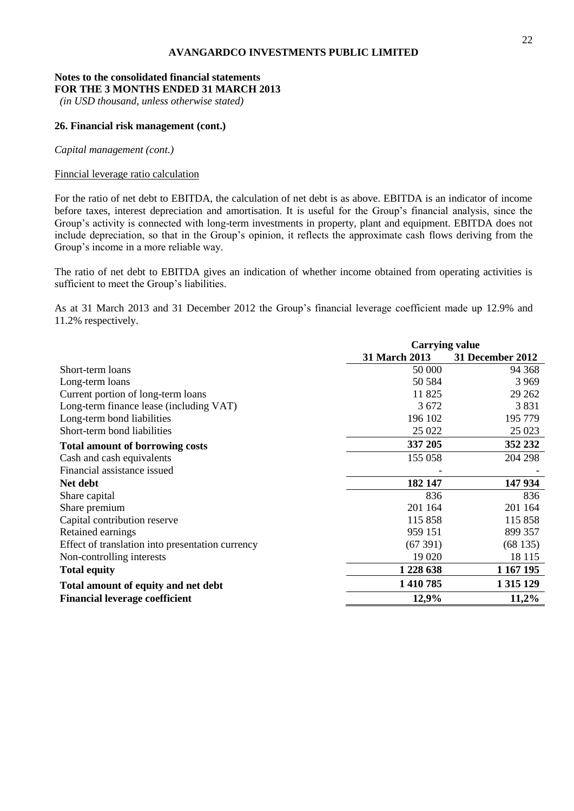# **Notes to the consolidated financial statements FOR THE 3 MONTHS ENDED 31 MARCH 2013**

*(in USD thousand, unless otherwise stated)*

# **26. Financial risk management (cont.)**

*Capital management (cont.)*

# Finncial leverage ratio calculation

For the ratio of net debt to EBITDA, the calculation of net debt is as above. EBITDA is an indicator of income before taxes, interest depreciation and amortisation. It is useful for the Group's financial analysis, since the Group's activity is connected with long-term investments in property, plant and equipment. EBITDA does not include depreciation, so that in the Group's opinion, it reflects the approximate cash flows deriving from the Group's income in a more reliable way.

The ratio of net debt to EBITDA gives an indication of whether income obtained from operating activities is sufficient to meet the Group's liabilities.

As at 31 March 2013 and 31 December 2012 the Group's financial leverage coefficient made up 12.9% and 11.2% respectively.

|                                                  | <b>Carrying value</b> |                  |  |  |
|--------------------------------------------------|-----------------------|------------------|--|--|
|                                                  | 31 March 2013         | 31 December 2012 |  |  |
| Short-term loans                                 | 50 000                | 94 368           |  |  |
| Long-term loans                                  | 50 584                | 3 9 6 9          |  |  |
| Current portion of long-term loans               | 11825                 | 29 262           |  |  |
| Long-term finance lease (including VAT)          | 3 6 7 2               | 3831             |  |  |
| Long-term bond liabilities                       | 196 102               | 195 779          |  |  |
| Short-term bond liabilities                      | 25 022                | 25 023           |  |  |
| <b>Total amount of borrowing costs</b>           | 337 205               | 352 232          |  |  |
| Cash and cash equivalents                        | 155 058               | 204 298          |  |  |
| Financial assistance issued                      |                       |                  |  |  |
| Net debt                                         | 182 147               | 147 934          |  |  |
| Share capital                                    | 836                   | 836              |  |  |
| Share premium                                    | 201 164               | 201 164          |  |  |
| Capital contribution reserve                     | 115 858               | 115 858          |  |  |
| Retained earnings                                | 959 151               | 899 357          |  |  |
| Effect of translation into presentation currency | (67391)               | (68135)          |  |  |
| Non-controlling interests                        | 19 0 20               | 18 115           |  |  |
| <b>Total equity</b>                              | 1 228 638             | 1 167 195        |  |  |
| Total amount of equity and net debt              | 1410785               | 1 3 1 5 1 2 9    |  |  |
| <b>Financial leverage coefficient</b>            | 12,9%                 | 11,2%            |  |  |